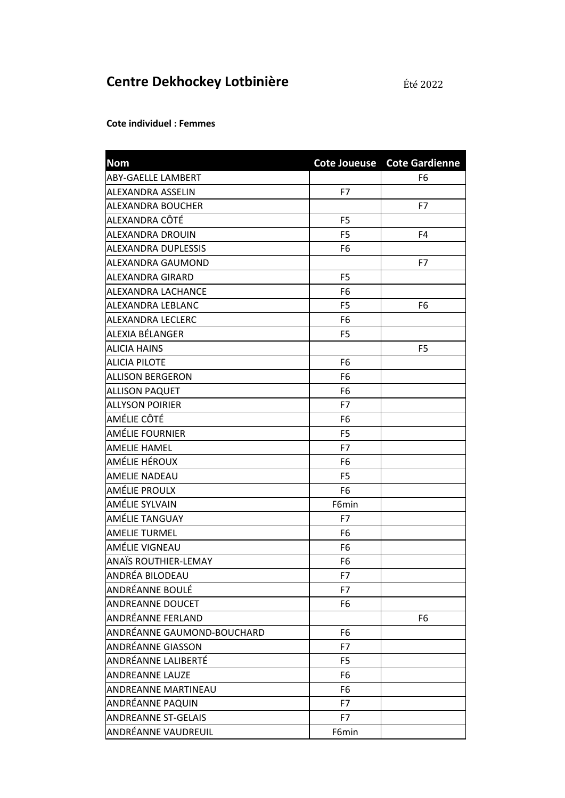## Centre Dekhockey Lotbinière

**Cote individuel : Femmes** 

| <b>Nom</b>                 |                | Cote Joueuse Cote Gardienne |
|----------------------------|----------------|-----------------------------|
| ABY-GAELLE LAMBERT         |                | F6                          |
| ALEXANDRA ASSELIN          | F7             |                             |
| ALEXANDRA BOUCHER          |                | F7                          |
| ALEXANDRA CÔTÉ             | F <sub>5</sub> |                             |
| ALEXANDRA DROUIN           | F <sub>5</sub> | F <sub>4</sub>              |
| ALEXANDRA DUPLESSIS        | F6             |                             |
| ALEXANDRA GAUMOND          |                | F7                          |
| ALEXANDRA GIRARD           | F <sub>5</sub> |                             |
| ALEXANDRA LACHANCE         | F6             |                             |
| ALEXANDRA LEBLANC          | F5             | F6                          |
| ALEXANDRA LECLERC          | F6             |                             |
| ALEXIA BÉLANGER            | F <sub>5</sub> |                             |
| ALICIA HAINS               |                | F <sub>5</sub>              |
| <b>ALICIA PILOTE</b>       | F6             |                             |
| ALLISON BERGERON           | F6             |                             |
| <b>ALLISON PAQUET</b>      | F <sub>6</sub> |                             |
| ALLYSON POIRIER            | F7             |                             |
| AMÉLIE CÔTÉ                | F6             |                             |
| AMÉLIE FOURNIER            | F <sub>5</sub> |                             |
| <b>AMELIE HAMEL</b>        | F7             |                             |
| AMÉLIE HÉROUX              | F6             |                             |
| <b>AMELIE NADEAU</b>       | F5             |                             |
| AMÉLIE PROULX              | F6             |                             |
| AMÉLIE SYLVAIN             | F6min          |                             |
| AMÉLIE TANGUAY             | F7             |                             |
| <b>AMELIE TURMEL</b>       | F6             |                             |
| AMÉLIE VIGNEAU             | F6             |                             |
| ANAÏS ROUTHIER-LEMAY       | F6             |                             |
| ANDRÉA BILODEAU            | F7             |                             |
| ANDRÉANNE BOULÉ            | F7             |                             |
| <b>ANDREANNE DOUCET</b>    | F6             |                             |
| ANDRÉANNE FERLAND          |                | F6                          |
| ANDRÉANNE GAUMOND-BOUCHARD | F6             |                             |
| <b>ANDRÉANNE GIASSON</b>   | F7             |                             |
| ANDRÉANNE LALIBERTÉ        | F5             |                             |
| <b>ANDREANNE LAUZE</b>     | F6             |                             |
| <b>ANDREANNE MARTINEAU</b> | F6             |                             |
| ANDRÉANNE PAQUIN           | F7             |                             |
| <b>ANDREANNE ST-GELAIS</b> | F7             |                             |
| ANDRÉANNE VAUDREUIL        | F6min          |                             |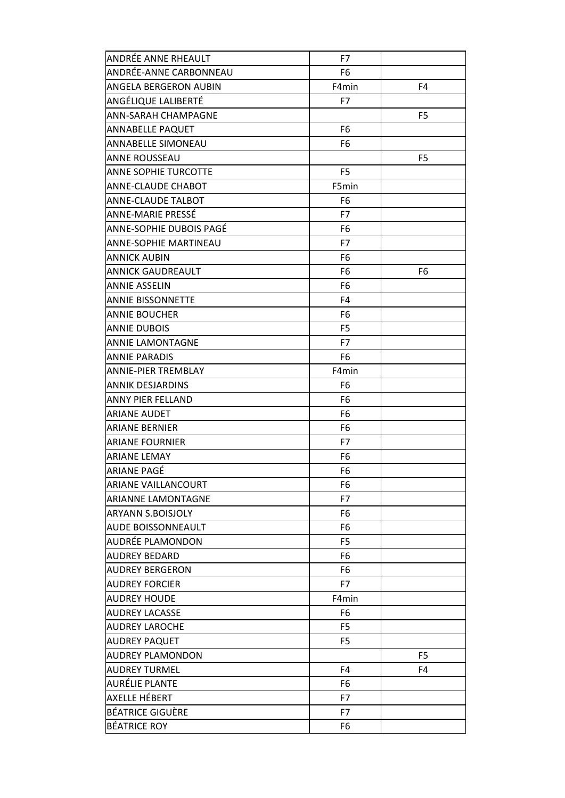| ANDRÉE ANNE RHEAULT         | F7             |                |
|-----------------------------|----------------|----------------|
| ANDRÉE-ANNE CARBONNEAU      | F6             |                |
| ANGELA BERGERON AUBIN       | F4min          | F4             |
| ANGÉLIQUE LALIBERTÉ         | F7             |                |
| ANN-SARAH CHAMPAGNE         |                | F <sub>5</sub> |
| <b>ANNABELLE PAQUET</b>     | F6             |                |
| ANNABELLE SIMONEAU          | F6             |                |
| ANNE ROUSSEAU               |                | F5             |
| <b>ANNE SOPHIE TURCOTTE</b> | F <sub>5</sub> |                |
| ANNE-CLAUDE CHABOT          | F5min          |                |
| ANNE-CLAUDE TALBOT          | F6             |                |
| ANNE-MARIE PRESSÉ           | F7             |                |
| ANNE-SOPHIE DUBOIS PAGÉ     | F6             |                |
| ANNE-SOPHIE MARTINEAU       | F7             |                |
| ANNICK AUBIN                | F6             |                |
| ANNICK GAUDREAULT           | F6             | F <sub>6</sub> |
| <b>ANNIE ASSELIN</b>        | F6             |                |
| <b>ANNIE BISSONNETTE</b>    | F4             |                |
| ANNIE BOUCHER               | F6             |                |
| <b>ANNIE DUBOIS</b>         | F <sub>5</sub> |                |
| <b>ANNIE LAMONTAGNE</b>     | F7             |                |
| ANNIE PARADIS               | F6             |                |
| <b>ANNIE-PIER TREMBLAY</b>  | F4min          |                |
| <b>ANNIK DESJARDINS</b>     | F <sub>6</sub> |                |
| ANNY PIER FELLAND           | F6             |                |
| <b>ARIANE AUDET</b>         | F6             |                |
| <b>ARIANE BERNIER</b>       | F6             |                |
| ARIANE FOURNIER             | F7             |                |
| <b>ARIANE LEMAY</b>         | F6             |                |
| ARIANE PAGÉ                 | F6             |                |
| <b>ARIANE VAILLANCOURT</b>  | F6             |                |
| <b>ARIANNE LAMONTAGNE</b>   | F7             |                |
| <b>ARYANN S.BOISJOLY</b>    | F6             |                |
| <b>AUDE BOISSONNEAULT</b>   | F6             |                |
| AUDRÉE PLAMONDON            | F <sub>5</sub> |                |
| <b>AUDREY BEDARD</b>        | F6             |                |
| <b>AUDREY BERGERON</b>      | F6             |                |
| <b>AUDREY FORCIER</b>       | F7             |                |
| AUDREY HOUDE                | F4min          |                |
| <b>AUDREY LACASSE</b>       | F6             |                |
| <b>AUDREY LAROCHE</b>       | F <sub>5</sub> |                |
| <b>AUDREY PAQUET</b>        | F5             |                |
| <b>AUDREY PLAMONDON</b>     |                | F <sub>5</sub> |
| <b>AUDREY TURMEL</b>        | F4             | F4             |
| AURÉLIE PLANTE              | F6             |                |
| AXELLE HÉBERT               | F7             |                |
| BÉATRICE GIGUÈRE            | F7             |                |
| <b>BÉATRICE ROY</b>         | F6             |                |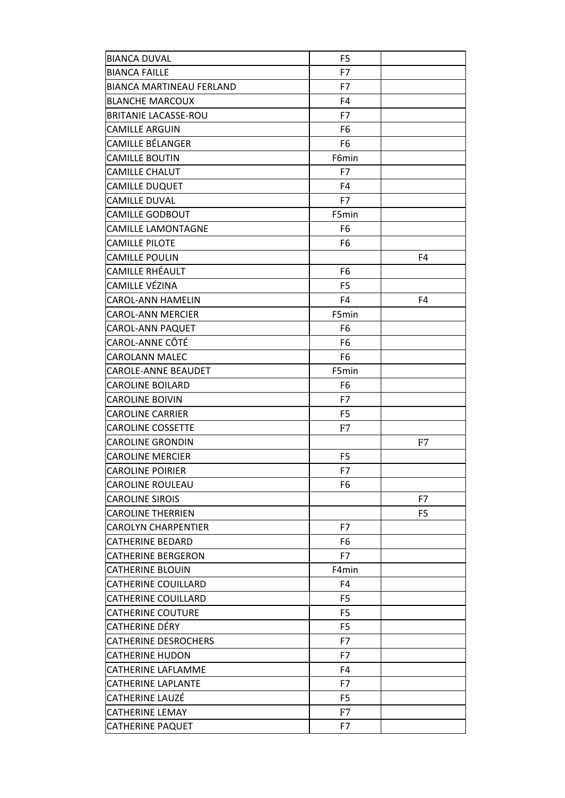| <b>BIANCA DUVAL</b>             | F <sub>5</sub> |    |
|---------------------------------|----------------|----|
| <b>BIANCA FAILLE</b>            | F7             |    |
| <b>BIANCA MARTINEAU FERLAND</b> | F7             |    |
| <b>BLANCHE MARCOUX</b>          | F4             |    |
| <b>BRITANIE LACASSE-ROU</b>     | F7             |    |
| CAMILLE ARGUIN                  | F6             |    |
| CAMILLE BÉLANGER                | F6             |    |
| <b>CAMILLE BOUTIN</b>           | F6min          |    |
| <b>CAMILLE CHALUT</b>           | F7             |    |
| CAMILLE DUQUET                  | F4             |    |
| CAMILLE DUVAL                   | F7             |    |
| <b>CAMILLE GODBOUT</b>          | F5min          |    |
| <b>CAMILLE LAMONTAGNE</b>       | F6             |    |
| CAMILLE PILOTE                  | F6             |    |
| <b>CAMILLE POULIN</b>           |                | F4 |
| CAMILLE RHÉAULT                 | F6             |    |
| CAMILLE VÉZINA                  | F <sub>5</sub> |    |
| CAROL-ANN HAMELIN               | F4             | F4 |
| <b>CAROL-ANN MERCIER</b>        | F5min          |    |
| CAROL-ANN PAQUET                | F6             |    |
| CAROL-ANNE CÔTÉ                 | F6             |    |
| CAROLANN MALEC                  | F6             |    |
| CAROLE-ANNE BEAUDET             | F5min          |    |
| <b>CAROLINE BOILARD</b>         | F6             |    |
| <b>CAROLINE BOIVIN</b>          | F7             |    |
| CAROLINE CARRIER                | F <sub>5</sub> |    |
| <b>CAROLINE COSSETTE</b>        | F7             |    |
| <b>CAROLINE GRONDIN</b>         |                | F7 |
| <b>CAROLINE MERCIER</b>         | F <sub>5</sub> |    |
| <b>CAROLINE POIRIER</b>         | F7             |    |
| CAROLINE ROULEAU                | F6             |    |
| <b>CAROLINE SIROIS</b>          |                | F7 |
| <b>CAROLINE THERRIEN</b>        |                | F5 |
| <b>CAROLYN CHARPENTIER</b>      | F7             |    |
| <b>CATHERINE BEDARD</b>         | F6             |    |
| CATHERINE BERGERON              | F7             |    |
| CATHERINE BLOUIN                | F4min          |    |
| CATHERINE COUILLARD             | F4             |    |
| <b>CATHERINE COUILLARD</b>      | F <sub>5</sub> |    |
| <b>CATHERINE COUTURE</b>        | F5             |    |
| CATHERINE DÉRY                  | F5             |    |
| <b>CATHERINE DESROCHERS</b>     | F7             |    |
| CATHERINE HUDON                 | F7             |    |
| CATHERINE LAFLAMME              | F4             |    |
| CATHERINE LAPLANTE              | F7             |    |
| CATHERINE LAUZÉ                 | F5             |    |
| <b>CATHERINE LEMAY</b>          | F7             |    |
| CATHERINE PAQUET                | F7             |    |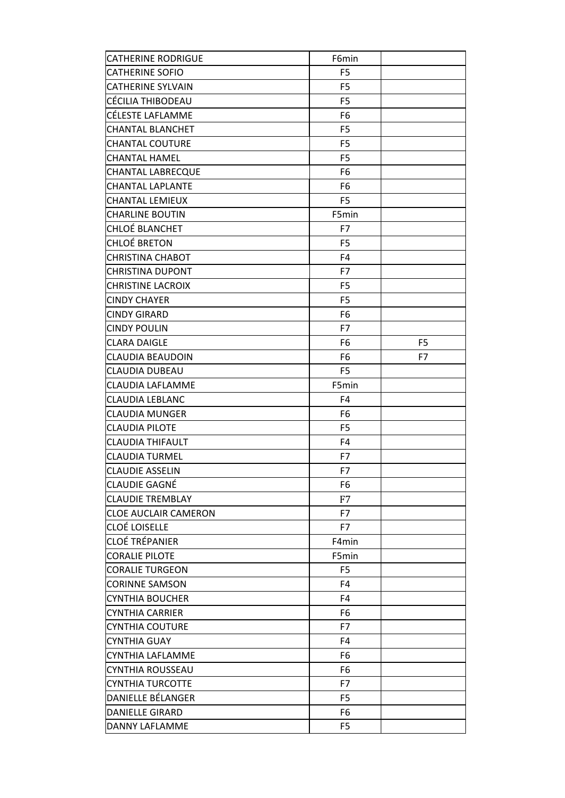| <b>CATHERINE RODRIGUE</b>   | F6min          |                |
|-----------------------------|----------------|----------------|
| <b>CATHERINE SOFIO</b>      | F <sub>5</sub> |                |
| <b>CATHERINE SYLVAIN</b>    | F <sub>5</sub> |                |
| CÉCILIA THIBODEAU           | F <sub>5</sub> |                |
| CÉLESTE LAFLAMME            | F <sub>6</sub> |                |
| CHANTAL BLANCHET            | F <sub>5</sub> |                |
| <b>CHANTAL COUTURE</b>      | F <sub>5</sub> |                |
| CHANTAL HAMEL               | F <sub>5</sub> |                |
| <b>CHANTAL LABRECQUE</b>    | F <sub>6</sub> |                |
| CHANTAL LAPLANTE            | F <sub>6</sub> |                |
| CHANTAL LEMIEUX             | F <sub>5</sub> |                |
| <b>CHARLINE BOUTIN</b>      | F5min          |                |
| CHLOÉ BLANCHET              | F7             |                |
| <b>CHLOÉ BRETON</b>         | F <sub>5</sub> |                |
| <b>CHRISTINA CHABOT</b>     | F <sub>4</sub> |                |
| <b>CHRISTINA DUPONT</b>     | F7             |                |
| <b>CHRISTINE LACROIX</b>    | F <sub>5</sub> |                |
| <b>CINDY CHAYER</b>         | F <sub>5</sub> |                |
| <b>CINDY GIRARD</b>         | F <sub>6</sub> |                |
| <b>CINDY POULIN</b>         | F7             |                |
| CLARA DAIGLE                | F <sub>6</sub> | F <sub>5</sub> |
| CLAUDIA BEAUDOIN            | F <sub>6</sub> | F7             |
| CLAUDIA DUBEAU              | F <sub>5</sub> |                |
| CLAUDIA LAFLAMME            | F5min          |                |
| CLAUDIA LEBLANC             | F4             |                |
| CLAUDIA MUNGER              | F <sub>6</sub> |                |
| <b>CLAUDIA PILOTE</b>       | F <sub>5</sub> |                |
| CLAUDIA THIFAULT            | F <sub>4</sub> |                |
| CLAUDIA TURMEL              | F7             |                |
| <b>CLAUDIE ASSELIN</b>      | F7             |                |
| CLAUDIE GAGNÉ               | F6             |                |
| <b>CLAUDIE TREMBLAY</b>     | F7             |                |
| <b>CLOE AUCLAIR CAMERON</b> | F7             |                |
| <b>CLOÉ LOISELLE</b>        | F7             |                |
| CLOÉ TRÉPANIER              | F4min          |                |
| <b>CORALIE PILOTE</b>       | F5min          |                |
| CORALIE TURGEON             | F <sub>5</sub> |                |
| <b>CORINNE SAMSON</b>       | F <sub>4</sub> |                |
| CYNTHIA BOUCHER             | F4             |                |
| CYNTHIA CARRIER             | F <sub>6</sub> |                |
| CYNTHIA COUTURE             | F7             |                |
| CYNTHIA GUAY                | F4             |                |
| CYNTHIA LAFLAMME            | F6             |                |
| CYNTHIA ROUSSEAU            | F <sub>6</sub> |                |
| CYNTHIA TURCOTTE            | F7             |                |
| DANIELLE BÉLANGER           | F <sub>5</sub> |                |
| <b>DANIELLE GIRARD</b>      | F <sub>6</sub> |                |
| DANNY LAFLAMME              | F <sub>5</sub> |                |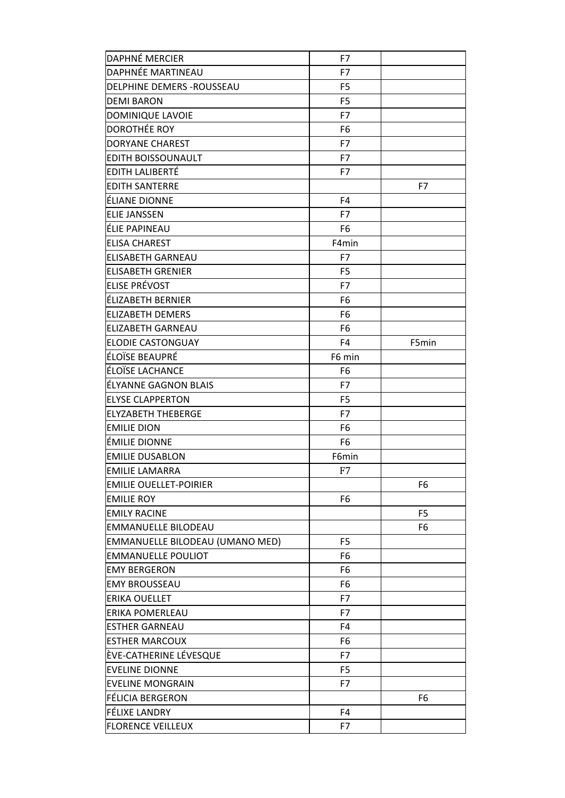| <b>DAPHNÉ MERCIER</b>           | F7             |                |
|---------------------------------|----------------|----------------|
| DAPHNÉE MARTINEAU               | F7             |                |
| DELPHINE DEMERS - ROUSSEAU      | F <sub>5</sub> |                |
| <b>DEMI BARON</b>               | F <sub>5</sub> |                |
| DOMINIQUE LAVOIE                | F7             |                |
| DOROTHÉE ROY                    | F6             |                |
| DORYANE CHAREST                 | F7             |                |
| EDITH BOISSOUNAULT              | F7             |                |
| EDITH LALIBERTÉ                 | F7             |                |
| <b>EDITH SANTERRE</b>           |                | F7             |
| ÉLIANE DIONNE                   | F4             |                |
| <b>ELIE JANSSEN</b>             | F7             |                |
| ÉLIE PAPINEAU                   | F6             |                |
| <b>ELISA CHAREST</b>            | F4min          |                |
| <b>ELISABETH GARNEAU</b>        | F7             |                |
| <b>ELISABETH GRENIER</b>        | F <sub>5</sub> |                |
| ELISE PRÉVOST                   | F7             |                |
| ÉLIZABETH BERNIER               | F6             |                |
| <b>ELIZABETH DEMERS</b>         | F6             |                |
| <b>ELIZABETH GARNEAU</b>        | F6             |                |
| <b>ELODIE CASTONGUAY</b>        | F4             | F5min          |
| ÉLOÏSE BEAUPRÉ                  | F6 min         |                |
| ÉLOÏSE LACHANCE                 | F6             |                |
| ÉLYANNE GAGNON BLAIS            | F7             |                |
| <b>ELYSE CLAPPERTON</b>         | F <sub>5</sub> |                |
| <b>ELYZABETH THEBERGE</b>       | F7             |                |
| <b>EMILIE DION</b>              | F6             |                |
| ÉMILIE DIONNE                   | F6             |                |
| <b>EMILIE DUSABLON</b>          | F6min          |                |
| <b>EMILIE LAMARRA</b>           | F7             |                |
| <b>EMILIE OUELLET-POIRIER</b>   |                | F6             |
| <b>EMILIE ROY</b>               | F6             |                |
| <b>EMILY RACINE</b>             |                | F <sub>5</sub> |
| <b>EMMANUELLE BILODEAU</b>      |                | F6             |
| EMMANUELLE BILODEAU (UMANO MED) | F5             |                |
| <b>EMMANUELLE POULIOT</b>       | F6             |                |
| <b>EMY BERGERON</b>             | F6             |                |
| <b>EMY BROUSSEAU</b>            | F6             |                |
| ERIKA OUELLET                   | F7             |                |
| ERIKA POMERLEAU                 | F7             |                |
| <b>ESTHER GARNEAU</b>           | F4             |                |
| <b>ESTHER MARCOUX</b>           | F6             |                |
| ÈVE-CATHERINE LÉVESQUE          | F7             |                |
| <b>EVELINE DIONNE</b>           | F5             |                |
| <b>EVELINE MONGRAIN</b>         | F7             |                |
| <b>FÉLICIA BERGERON</b>         |                | F <sub>6</sub> |
| FÉLIXE LANDRY                   | F4             |                |
| <b>FLORENCE VEILLEUX</b>        | F7             |                |
|                                 |                |                |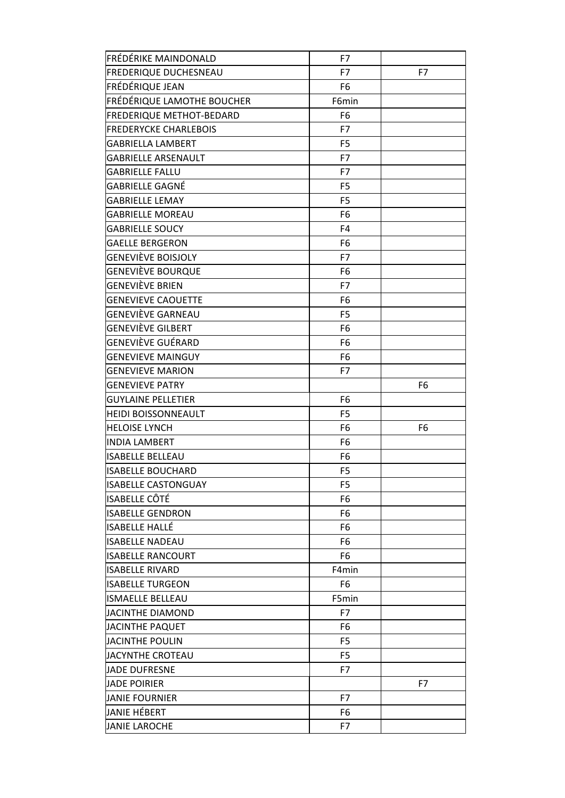| FRÉDÉRIKE MAINDONALD         | F7             |    |
|------------------------------|----------------|----|
| <b>FREDERIQUE DUCHESNEAU</b> | F7             | F7 |
| FRÉDÉRIQUE JEAN              | F <sub>6</sub> |    |
| FRÉDÉRIQUE LAMOTHE BOUCHER   | F6min          |    |
| FREDERIQUE METHOT-BEDARD     | F <sub>6</sub> |    |
| <b>FREDERYCKE CHARLEBOIS</b> | F7             |    |
| GABRIELLA LAMBERT            | F <sub>5</sub> |    |
| <b>GABRIELLE ARSENAULT</b>   | F7             |    |
| <b>GABRIELLE FALLU</b>       | F7             |    |
| GABRIELLE GAGNÉ              | F <sub>5</sub> |    |
| <b>GABRIELLE LEMAY</b>       | F <sub>5</sub> |    |
| <b>GABRIELLE MOREAU</b>      | F <sub>6</sub> |    |
| <b>GABRIELLE SOUCY</b>       | F <sub>4</sub> |    |
| <b>GAELLE BERGERON</b>       | F <sub>6</sub> |    |
| GENEVIÈVE BOISJOLY           | F7             |    |
| GENEVIÈVE BOURQUE            | F <sub>6</sub> |    |
| GENEVIÈVE BRIEN              | F7             |    |
| <b>GENEVIEVE CAOUETTE</b>    | F <sub>6</sub> |    |
| GENEVIÈVE GARNEAU            | F <sub>5</sub> |    |
| GENEVIÈVE GILBERT            | F <sub>6</sub> |    |
| GENEVIÈVE GUÉRARD            | F <sub>6</sub> |    |
| <b>GENEVIEVE MAINGUY</b>     | F <sub>6</sub> |    |
| <b>GENEVIEVE MARION</b>      | F7             |    |
| GENEVIEVE PATRY              |                | F6 |
| <b>GUYLAINE PELLETIER</b>    | F <sub>6</sub> |    |
| <b>HEIDI BOISSONNEAULT</b>   | F <sub>5</sub> |    |
| <b>HELOISE LYNCH</b>         | F <sub>6</sub> | F6 |
| <b>INDIA LAMBERT</b>         | F <sub>6</sub> |    |
| <b>ISABELLE BELLEAU</b>      | F <sub>6</sub> |    |
| <b>ISABELLE BOUCHARD</b>     | F <sub>5</sub> |    |
| <b>ISABELLE CASTONGUAY</b>   | F5             |    |
| <b>ISABELLE CÔTÉ</b>         | F <sub>6</sub> |    |
| <b>ISABELLE GENDRON</b>      | F <sub>6</sub> |    |
| <b>ISABELLE HALLÉ</b>        | F <sub>6</sub> |    |
| <b>ISABELLE NADEAU</b>       | F6             |    |
| <b>ISABELLE RANCOURT</b>     | F <sub>6</sub> |    |
| <b>ISABELLE RIVARD</b>       | F4min          |    |
| <b>ISABELLE TURGEON</b>      | F <sub>6</sub> |    |
| <b>ISMAELLE BELLEAU</b>      | F5min          |    |
| JACINTHE DIAMOND             | F7             |    |
| <b>JACINTHE PAQUET</b>       | F <sub>6</sub> |    |
| <b>JACINTHE POULIN</b>       | F <sub>5</sub> |    |
| JACYNTHE CROTEAU             | F <sub>5</sub> |    |
| JADE DUFRESNE                | F7             |    |
| <b>JADE POIRIER</b>          |                | F7 |
| <b>JANIE FOURNIER</b>        | F7             |    |
| JANIE HÉBERT                 | F <sub>6</sub> |    |
| <b>JANIE LAROCHE</b>         | F7             |    |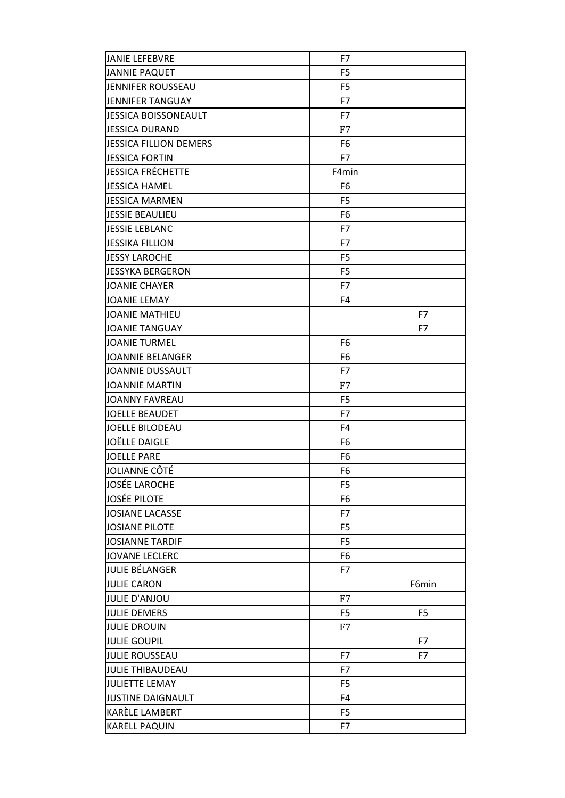| <b>JANIE LEFEBVRE</b>    | F7             |                |
|--------------------------|----------------|----------------|
| <b>JANNIE PAQUET</b>     | F <sub>5</sub> |                |
| JENNIFER ROUSSEAU        | F <sub>5</sub> |                |
| <b>JENNIFER TANGUAY</b>  | F7             |                |
| JESSICA BOISSONEAULT     | F7             |                |
| <b>JESSICA DURAND</b>    | F7             |                |
| JESSICA FILLION DEMERS   | F <sub>6</sub> |                |
| <b>JESSICA FORTIN</b>    | F7             |                |
| <b>JESSICA FRÉCHETTE</b> | F4min          |                |
| <b>JESSICA HAMEL</b>     | F <sub>6</sub> |                |
| <b>JESSICA MARMEN</b>    | F <sub>5</sub> |                |
| <b>JESSIE BEAULIEU</b>   | F <sub>6</sub> |                |
| JESSIE LEBLANC           | F7             |                |
| <b>JESSIKA FILLION</b>   | F7             |                |
| <b>JESSY LAROCHE</b>     | F <sub>5</sub> |                |
| <b>JESSYKA BERGERON</b>  | F <sub>5</sub> |                |
| <b>JOANIE CHAYER</b>     | F7             |                |
| <b>JOANIE LEMAY</b>      | F <sub>4</sub> |                |
| <b>JOANIE MATHIEU</b>    |                | F7             |
| <b>JOANIE TANGUAY</b>    |                | F7             |
| <b>JOANIE TURMEL</b>     | F6             |                |
| JOANNIE BELANGER         | F <sub>6</sub> |                |
| JOANNIE DUSSAULT         | F7             |                |
| <b>JOANNIE MARTIN</b>    | F7             |                |
| <b>JOANNY FAVREAU</b>    | F <sub>5</sub> |                |
| <b>JOELLE BEAUDET</b>    | F7             |                |
| <b>JOELLE BILODEAU</b>   | F <sub>4</sub> |                |
| JOËLLE DAIGLE            | F <sub>6</sub> |                |
| <b>JOELLE PARE</b>       | F <sub>6</sub> |                |
| JOLIANNE CÔTÉ            | F6             |                |
| <b>JOSÉE LAROCHE</b>     | F <sub>5</sub> |                |
| <b>JOSÉE PILOTE</b>      | F <sub>6</sub> |                |
| JOSIANE LACASSE          | F7             |                |
| <b>JOSIANE PILOTE</b>    | F <sub>5</sub> |                |
| <b>JOSIANNE TARDIF</b>   | F <sub>5</sub> |                |
| <b>JOVANE LECLERC</b>    | F <sub>6</sub> |                |
| JULIE BÉLANGER           | F7             |                |
| <b>JULIE CARON</b>       |                | F6min          |
| <b>JULIE D'ANJOU</b>     | F7             |                |
| <b>JULIE DEMERS</b>      | F <sub>5</sub> | F <sub>5</sub> |
| <b>JULIE DROUIN</b>      | F7             |                |
| <b>JULIE GOUPIL</b>      |                | F7             |
| <b>JULIE ROUSSEAU</b>    | F7             | F7             |
| JULIE THIBAUDEAU         | F7             |                |
| <b>JULIETTE LEMAY</b>    | F <sub>5</sub> |                |
| JUSTINE DAIGNAULT        | F <sub>4</sub> |                |
| KARÈLE LAMBERT           | F <sub>5</sub> |                |
| <b>KARELL PAQUIN</b>     | F7             |                |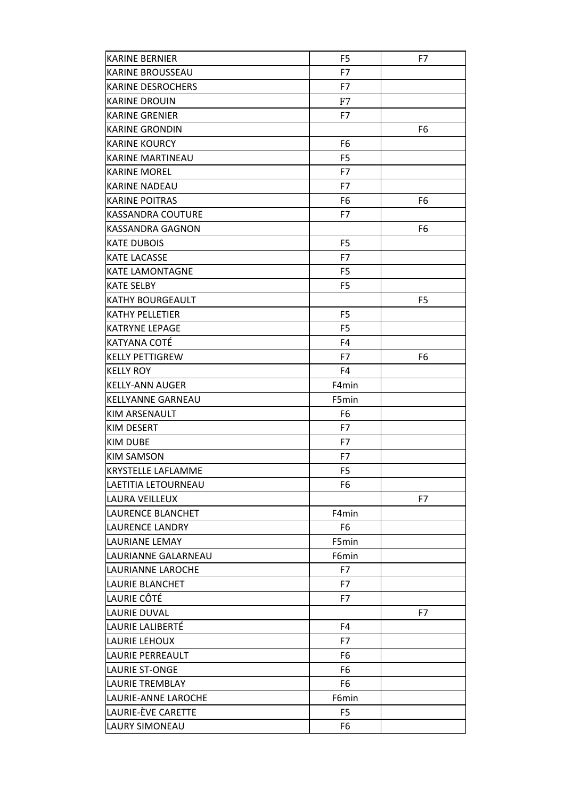| <b>KARINE BERNIER</b>     | F <sub>5</sub> | F7             |
|---------------------------|----------------|----------------|
| <b>KARINE BROUSSEAU</b>   | F7             |                |
| <b>KARINE DESROCHERS</b>  | F7             |                |
| <b>KARINE DROUIN</b>      | F7             |                |
| <b>KARINE GRENIER</b>     | F7             |                |
| <b>KARINE GRONDIN</b>     |                | F <sub>6</sub> |
| <b>KARINE KOURCY</b>      | F6             |                |
| <b>KARINE MARTINEAU</b>   | F <sub>5</sub> |                |
| <b>KARINE MOREL</b>       | F7             |                |
| <b>KARINE NADEAU</b>      | F7             |                |
| <b>KARINE POITRAS</b>     | F6             | F6             |
| KASSANDRA COUTURE         | F7             |                |
| KASSANDRA GAGNON          |                | F6             |
| <b>KATE DUBOIS</b>        | F <sub>5</sub> |                |
| <b>KATE LACASSE</b>       | F7             |                |
| <b>KATE LAMONTAGNE</b>    | F <sub>5</sub> |                |
| <b>KATE SELBY</b>         | F <sub>5</sub> |                |
| <b>KATHY BOURGEAULT</b>   |                | F <sub>5</sub> |
| <b>KATHY PELLETIER</b>    | F <sub>5</sub> |                |
| <b>KATRYNE LEPAGE</b>     | F <sub>5</sub> |                |
| KATYANA COTÉ              | F4             |                |
| <b>KELLY PETTIGREW</b>    | F7             | F <sub>6</sub> |
| <b>KELLY ROY</b>          | F <sub>4</sub> |                |
| <b>KELLY-ANN AUGER</b>    | F4min          |                |
| KELLYANNE GARNEAU         | F5min          |                |
| KIM ARSENAULT             | F <sub>6</sub> |                |
| KIM DESERT                | F7             |                |
| <b>KIM DUBE</b>           | F7             |                |
| KIM SAMSON                | F7             |                |
| <b>KRYSTELLE LAFLAMME</b> | F <sub>5</sub> |                |
| LAETITIA LETOURNEAU       | F6             |                |
| LAURA VEILLEUX            |                | F7             |
| LAURENCE BLANCHET         | F4min          |                |
| <b>LAURENCE LANDRY</b>    | F6             |                |
| LAURIANE LEMAY            | F5min          |                |
| LAURIANNE GALARNEAU       | F6min          |                |
| LAURIANNE LAROCHE         | F7             |                |
| LAURIE BLANCHET           | F7             |                |
| LAURIE CÔTÉ               | F7             |                |
| <b>LAURIE DUVAL</b>       |                | F7             |
| LAURIE LALIBERTÉ          | F4             |                |
| LAURIE LEHOUX             | F7             |                |
| LAURIE PERREAULT          | F6             |                |
| LAURIE ST-ONGE            | F6             |                |
| <b>LAURIE TREMBLAY</b>    | F6             |                |
| LAURIE-ANNE LAROCHE       | F6min          |                |
| LAURIE-ÈVE CARETTE        | F <sub>5</sub> |                |
| LAURY SIMONEAU            | F6             |                |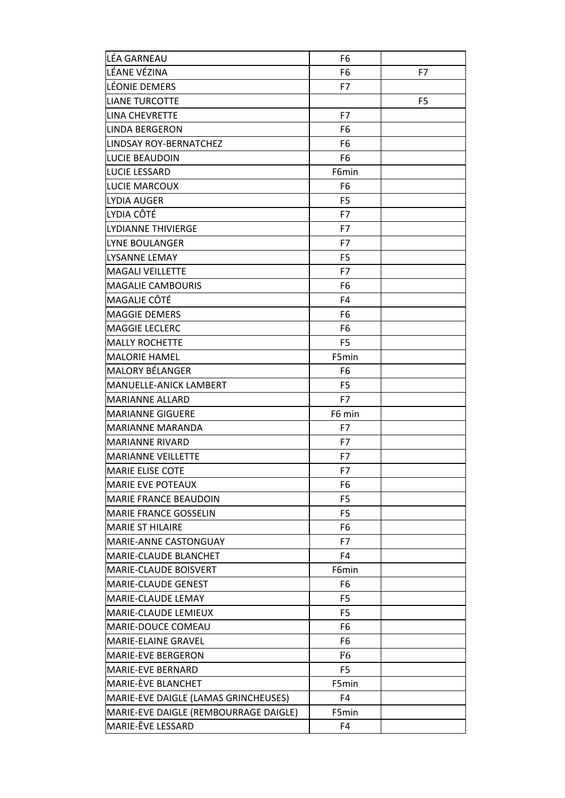| LÉA GARNEAU                           | F6             |                |
|---------------------------------------|----------------|----------------|
| LÉANE VÉZINA                          | F6             | F7             |
| LÉONIE DEMERS                         | F7             |                |
| <b>LIANE TURCOTTE</b>                 |                | F <sub>5</sub> |
| LINA CHEVRETTE                        | F7             |                |
| LINDA BERGERON                        | F6             |                |
| LINDSAY ROY-BERNATCHEZ                | F6             |                |
| LUCIE BEAUDOIN                        | F6             |                |
| <b>LUCIE LESSARD</b>                  | F6min          |                |
| LUCIE MARCOUX                         | F <sub>6</sub> |                |
| LYDIA AUGER                           | F <sub>5</sub> |                |
| LYDIA CÔTÉ                            | F7             |                |
| LYDIANNE THIVIERGE                    | F7             |                |
| LYNE BOULANGER                        | F7             |                |
| LYSANNE LEMAY                         | F <sub>5</sub> |                |
| <b>MAGALI VEILLETTE</b>               | F7             |                |
| <b>MAGALIE CAMBOURIS</b>              | F6             |                |
| MAGALIE CÔTÉ                          | F <sub>4</sub> |                |
| <b>MAGGIE DEMERS</b>                  | F6             |                |
| <b>MAGGIE LECLERC</b>                 | F6             |                |
| <b>MALLY ROCHETTE</b>                 | F <sub>5</sub> |                |
| <b>MALORIE HAMEL</b>                  | F5min          |                |
| <b>MALORY BÉLANGER</b>                | F6             |                |
| MANUELLE-ANICK LAMBERT                | F <sub>5</sub> |                |
| <b>MARIANNE ALLARD</b>                | F7             |                |
| <b>MARIANNE GIGUERE</b>               | F6 min         |                |
| <b>MARIANNE MARANDA</b>               | F7             |                |
| <b>MARIANNE RIVARD</b>                | F7             |                |
| <b>MARIANNE VEILLETTE</b>             | F7             |                |
| <b>MARIE ELISE COTE</b>               | F7             |                |
| <b>MARIE EVE POTEAUX</b>              | F6             |                |
| MARIE FRANCE BEAUDOIN                 | F <sub>5</sub> |                |
| <b>MARIE FRANCE GOSSELIN</b>          | F5             |                |
| <b>MARIE ST HILAIRE</b>               | F6             |                |
| MARIE-ANNE CASTONGUAY                 | F7             |                |
| MARIE-CLAUDE BLANCHET                 | F4             |                |
| MARIE-CLAUDE BOISVERT                 | F6min          |                |
| MARIE-CLAUDE GENEST                   | F6             |                |
| MARIE-CLAUDE LEMAY                    | F5             |                |
| MARIE-CLAUDE LEMIEUX                  | F <sub>5</sub> |                |
| MARIE-DOUCE COMEAU                    | F6             |                |
| MARIE-ELAINE GRAVEL                   | F6             |                |
| MARIE-EVE BERGERON                    | F6             |                |
| MARIE-EVE BERNARD                     | F5             |                |
| MARIE-ÈVE BLANCHET                    | F5min          |                |
| MARIE-EVE DAIGLE (LAMAS GRINCHEUSES)  | F4             |                |
| MARIE-EVE DAIGLE (REMBOURRAGE DAIGLE) | F5min          |                |
| MARIE-ÊVE LESSARD                     | F4             |                |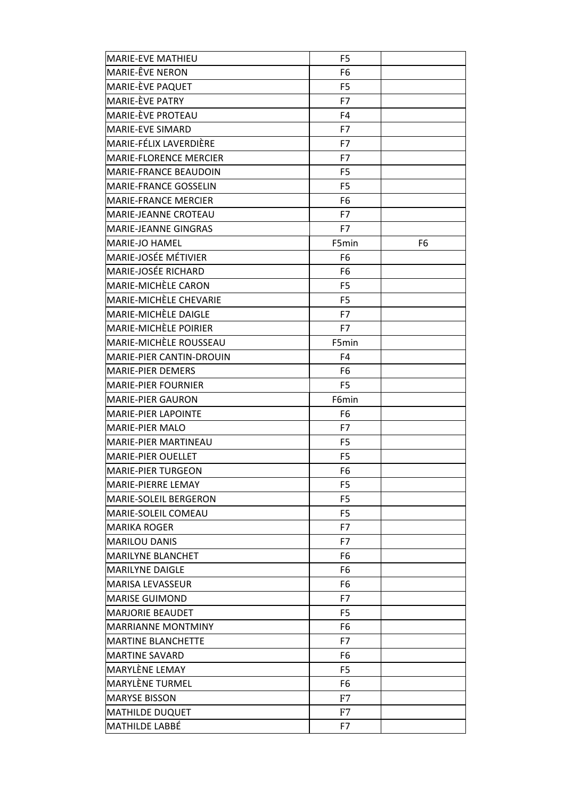| <b>MARIE-EVE MATHIEU</b>      | F5             |                |
|-------------------------------|----------------|----------------|
| MARIE-ÊVE NERON               | F <sub>6</sub> |                |
| MARIE-ÈVE PAQUET              | F <sub>5</sub> |                |
| MARIE-ÈVE PATRY               | F7             |                |
| MARIE-EVE PROTEAU             | F4             |                |
| <b>MARIE-EVE SIMARD</b>       | F7             |                |
| MARIE-FÉLIX LAVERDIÈRE        | F7             |                |
| <b>MARIE-FLORENCE MERCIER</b> | F7             |                |
| <b>MARIE-FRANCE BEAUDOIN</b>  | F5             |                |
| MARIE-FRANCE GOSSELIN         | F <sub>5</sub> |                |
| <b>MARIE-FRANCE MERCIER</b>   | F6             |                |
| <b>MARIE-JEANNE CROTEAU</b>   | F7             |                |
| <b>MARIE-JEANNE GINGRAS</b>   | F7             |                |
| <b>MARIE-JO HAMEL</b>         | F5min          | F <sub>6</sub> |
| MARIE-JOSÉE MÉTIVIER          | F6             |                |
| MARIE-JOSÉE RICHARD           | F6             |                |
| MARIE-MICHÈLE CARON           | F <sub>5</sub> |                |
| MARIE-MICHÈLE CHEVARIE        | F <sub>5</sub> |                |
| MARIE-MICHELE DAIGLE          | F7             |                |
| MARIE-MICHÈLE POIRIER         | F7             |                |
| MARIE-MICHÈLE ROUSSEAU        | F5min          |                |
| MARIE-PIER CANTIN-DROUIN      | F4             |                |
| <b>MARIE-PIER DEMERS</b>      | F6             |                |
| <b>MARIE-PIER FOURNIER</b>    | F <sub>5</sub> |                |
| <b>MARIE-PIER GAURON</b>      | F6min          |                |
| MARIE-PIER LAPOINTE           | F6             |                |
| <b>MARIE-PIER MALO</b>        | F7             |                |
| <b>MARIE-PIER MARTINEAU</b>   | F5             |                |
| <b>MARIE-PIER OUELLET</b>     | F <sub>5</sub> |                |
| <b>MARIE-PIER TURGEON</b>     | F6             |                |
| <b>MARIE-PIERRE LEMAY</b>     | F5             |                |
| MARIE-SOLEIL BERGERON         | F <sub>5</sub> |                |
| <b>MARIE-SOLEIL COMEAU</b>    | F5             |                |
| <b>MARIKA ROGER</b>           | F7             |                |
| <b>MARILOU DANIS</b>          | F7             |                |
| <b>MARILYNE BLANCHET</b>      | F6             |                |
| <b>MARILYNE DAIGLE</b>        | F6             |                |
| <b>MARISA LEVASSEUR</b>       | F6             |                |
| <b>MARISE GUIMOND</b>         | F7             |                |
| <b>MARJORIE BEAUDET</b>       | F5             |                |
| <b>MARRIANNE MONTMINY</b>     | F6             |                |
| <b>MARTINE BLANCHETTE</b>     | F7             |                |
| <b>MARTINE SAVARD</b>         | F6             |                |
| MARYLÈNE LEMAY                | F <sub>5</sub> |                |
| MARYLÈNE TURMEL               | F6             |                |
| <b>MARYSE BISSON</b>          | F7             |                |
| <b>MATHILDE DUQUET</b>        | F7             |                |
| <b>MATHILDE LABBÉ</b>         | F7             |                |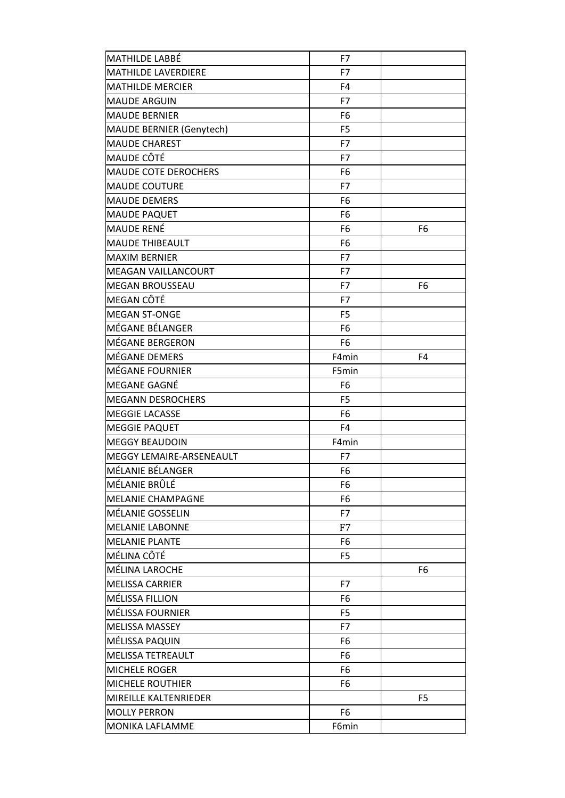| MATHILDE LABBÉ                  | F7             |                |
|---------------------------------|----------------|----------------|
| <b>MATHILDE LAVERDIERE</b>      | F7             |                |
| <b>MATHILDE MERCIER</b>         | F4             |                |
| <b>MAUDE ARGUIN</b>             | F7             |                |
| <b>MAUDE BERNIER</b>            | F6             |                |
| <b>MAUDE BERNIER (Genytech)</b> | F <sub>5</sub> |                |
| <b>MAUDE CHAREST</b>            | F7             |                |
| <b>MAUDE CÔTÉ</b>               | F7             |                |
| <b>MAUDE COTE DEROCHERS</b>     | F6             |                |
| <b>MAUDE COUTURE</b>            | F7             |                |
| <b>MAUDE DEMERS</b>             | F6             |                |
| <b>MAUDE PAQUET</b>             | F6             |                |
| <b>MAUDE RENÉ</b>               | F6             | F <sub>6</sub> |
| <b>MAUDE THIBEAULT</b>          | F <sub>6</sub> |                |
| <b>MAXIM BERNIER</b>            | F7             |                |
| <b>MEAGAN VAILLANCOURT</b>      | F7             |                |
| <b>MEGAN BROUSSEAU</b>          | F7             | F <sub>6</sub> |
| MEGAN CÔTÉ                      | F7             |                |
| <b>MEGAN ST-ONGE</b>            | F <sub>5</sub> |                |
| MÉGANE BÉLANGER                 | F <sub>6</sub> |                |
| MÉGANE BERGERON                 | F <sub>6</sub> |                |
| MÉGANE DEMERS                   | F4min          | F4             |
| MÉGANE FOURNIER                 | F5min          |                |
| MEGANE GAGNÉ                    | F <sub>6</sub> |                |
| <b>MEGANN DESROCHERS</b>        | F <sub>5</sub> |                |
| <b>MEGGIE LACASSE</b>           | F <sub>6</sub> |                |
| <b>MEGGIE PAQUET</b>            | F4             |                |
| <b>MEGGY BEAUDOIN</b>           | F4min          |                |
| MEGGY LEMAIRE-ARSENEAULT        | F7             |                |
| MÉLANIE BÉLANGER                | F6             |                |
| MÉLANIE BRÛLÉ                   | F6             |                |
| MELANIE CHAMPAGNE               | F6             |                |
| MÉLANIE GOSSELIN                | F7             |                |
| <b>MELANIE LABONNE</b>          | F7             |                |
| <b>MELANIE PLANTE</b>           | F6             |                |
| MÉLINA CÔTÉ                     | F <sub>5</sub> |                |
| MÉLINA LAROCHE                  |                | F6             |
| <b>MELISSA CARRIER</b>          | F7             |                |
| MÉLISSA FILLION                 | F6             |                |
| MÉLISSA FOURNIER                | F <sub>5</sub> |                |
| <b>MELISSA MASSEY</b>           | F7             |                |
| MÉLISSA PAQUIN                  | F6             |                |
| MELISSA TETREAULT               | F6             |                |
| <b>MICHELE ROGER</b>            | F6             |                |
| <b>MICHELE ROUTHIER</b>         | F6             |                |
| MIREILLE KALTENRIEDER           |                | F5             |
| <b>MOLLY PERRON</b>             | F6             |                |
| <b>MONIKA LAFLAMME</b>          | F6min          |                |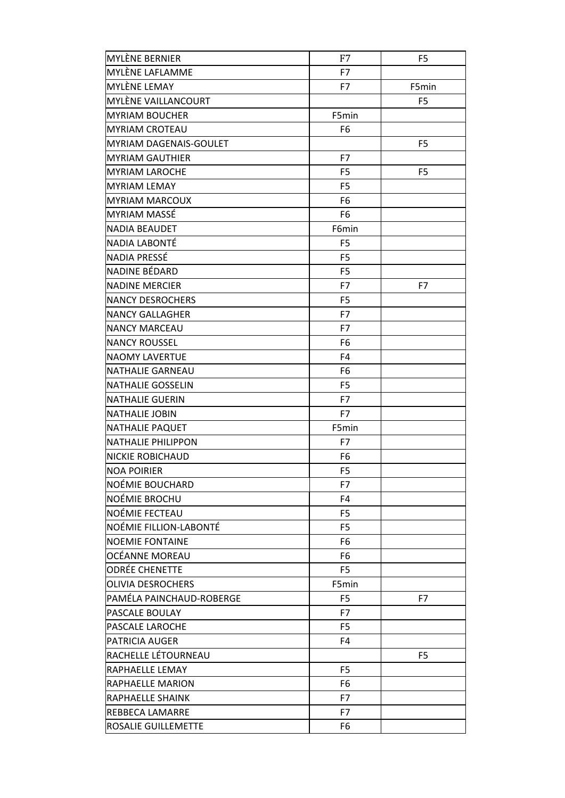| <b>MYLÈNE BERNIER</b>         | F7             | F <sub>5</sub> |
|-------------------------------|----------------|----------------|
| MYLÈNE LAFLAMME               | F7             |                |
| MYLÈNE LEMAY                  | F7             | F5min          |
| MYLÈNE VAILLANCOURT           |                | F <sub>5</sub> |
| <b>MYRIAM BOUCHER</b>         | F5min          |                |
| <b>MYRIAM CROTEAU</b>         | F <sub>6</sub> |                |
| <b>MYRIAM DAGENAIS-GOULET</b> |                | F <sub>5</sub> |
| <b>MYRIAM GAUTHIER</b>        | F7             |                |
| <b>MYRIAM LAROCHE</b>         | F <sub>5</sub> | F <sub>5</sub> |
| <b>MYRIAM LEMAY</b>           | F <sub>5</sub> |                |
| <b>MYRIAM MARCOUX</b>         | F <sub>6</sub> |                |
| MYRIAM MASSÉ                  | F <sub>6</sub> |                |
| <b>NADIA BEAUDET</b>          | F6min          |                |
| NADIA LABONTÉ                 | F <sub>5</sub> |                |
| NADIA PRESSÉ                  | F <sub>5</sub> |                |
| NADINE BÉDARD                 | F <sub>5</sub> |                |
| <b>NADINE MERCIER</b>         | F7             | F7             |
| <b>NANCY DESROCHERS</b>       | F <sub>5</sub> |                |
| <b>NANCY GALLAGHER</b>        | F7             |                |
| <b>NANCY MARCEAU</b>          | F7             |                |
| <b>NANCY ROUSSEL</b>          | F <sub>6</sub> |                |
| <b>NAOMY LAVERTUE</b>         | F <sub>4</sub> |                |
| <b>NATHALIE GARNEAU</b>       | F <sub>6</sub> |                |
| <b>NATHALIE GOSSELIN</b>      | F <sub>5</sub> |                |
| <b>NATHALIE GUERIN</b>        | F7             |                |
| <b>NATHALIE JOBIN</b>         | F7             |                |
| <b>NATHALIE PAQUET</b>        | F5min          |                |
| <b>NATHALIE PHILIPPON</b>     | F7             |                |
| <b>NICKIE ROBICHAUD</b>       | F <sub>6</sub> |                |
| <b>NOA POIRIER</b>            | F <sub>5</sub> |                |
| NOÉMIE BOUCHARD               | F7             |                |
| NOÉMIE BROCHU                 | F <sub>4</sub> |                |
| NOÉMIE FECTEAU                | F <sub>5</sub> |                |
| NOÉMIE FILLION-LABONTÉ        | F <sub>5</sub> |                |
| <b>NOEMIE FONTAINE</b>        | F6             |                |
| OCÉANNE MOREAU                | F <sub>6</sub> |                |
| <b>ODRÉE CHENETTE</b>         | F <sub>5</sub> |                |
| <b>OLIVIA DESROCHERS</b>      | F5min          |                |
| PAMÉLA PAINCHAUD-ROBERGE      | F <sub>5</sub> | F7             |
| PASCALE BOULAY                | F7             |                |
| PASCALE LAROCHE               | F <sub>5</sub> |                |
| PATRICIA AUGER                | F4             |                |
| RACHELLE LÉTOURNEAU           |                | F <sub>5</sub> |
| RAPHAELLE LEMAY               | F <sub>5</sub> |                |
| RAPHAELLE MARION              | F6             |                |
| RAPHAELLE SHAINK              | F7             |                |
| REBBECA LAMARRE               | F7             |                |
| ROSALIE GUILLEMETTE           | F6             |                |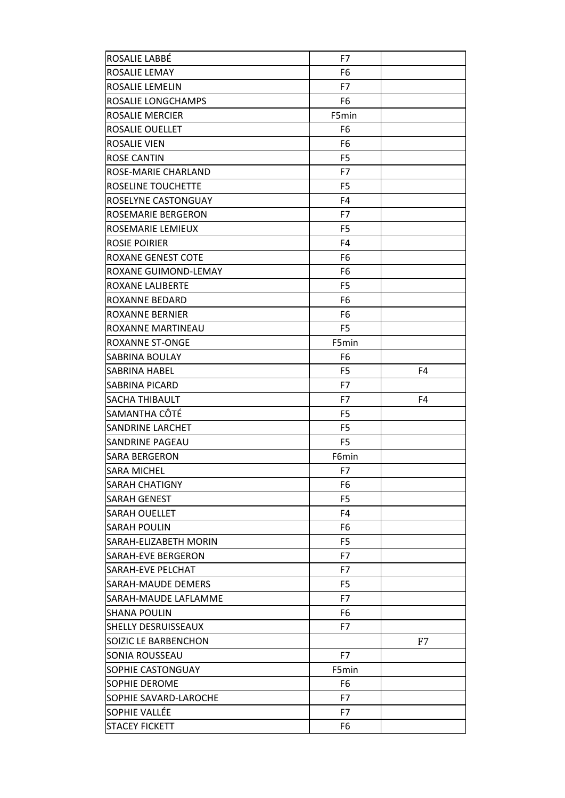| ROSALIE LABBÉ               | F7             |    |
|-----------------------------|----------------|----|
| ROSALIE LEMAY               | F <sub>6</sub> |    |
| ROSALIE LEMELIN             | F7             |    |
| ROSALIE LONGCHAMPS          | F6             |    |
| ROSALIE MERCIER             | F5min          |    |
| ROSALIE OUELLET             | F <sub>6</sub> |    |
| ROSALIE VIEN                | F <sub>6</sub> |    |
| <b>ROSE CANTIN</b>          | F <sub>5</sub> |    |
| ROSE-MARIE CHARLAND         | F7             |    |
| ROSELINE TOUCHETTE          | F <sub>5</sub> |    |
| ROSELYNE CASTONGUAY         | F <sub>4</sub> |    |
| ROSEMARIE BERGERON          | F7             |    |
| ROSEMARIE LEMIEUX           | F5             |    |
| ROSIE POIRIER               | F <sub>4</sub> |    |
| ROXANE GENEST COTE          | F6             |    |
| <b>ROXANE GUIMOND-LEMAY</b> | F6             |    |
| ROXANE LALIBERTE            | F5             |    |
| ROXANNE BEDARD              | F <sub>6</sub> |    |
| ROXANNE BERNIER             | F <sub>6</sub> |    |
| ROXANNE MARTINEAU           | F <sub>5</sub> |    |
| ROXANNE ST-ONGE             | F5min          |    |
| SABRINA BOULAY              | F <sub>6</sub> |    |
| SABRINA HABEL               | F <sub>5</sub> | F4 |
| <b>SABRINA PICARD</b>       | F7             |    |
| <b>SACHA THIBAULT</b>       | F7             | F4 |
| SAMANTHA CÔTÉ               | F <sub>5</sub> |    |
| <b>SANDRINE LARCHET</b>     | F <sub>5</sub> |    |
| <b>SANDRINE PAGEAU</b>      | F <sub>5</sub> |    |
| <b>SARA BERGERON</b>        | F6min          |    |
| SARA MICHEL                 | F7             |    |
| <b>SARAH CHATIGNY</b>       | F6             |    |
| <b>SARAH GENEST</b>         | F <sub>5</sub> |    |
| <b>SARAH OUELLET</b>        | F4             |    |
| <b>SARAH POULIN</b>         | F6             |    |
| SARAH-ELIZABETH MORIN       | F5             |    |
| <b>SARAH-EVE BERGERON</b>   | F7             |    |
| <b>SARAH-EVE PELCHAT</b>    | F7             |    |
| <b>SARAH-MAUDE DEMERS</b>   | F <sub>5</sub> |    |
| SARAH-MAUDE LAFLAMME        | F7             |    |
| <b>SHANA POULIN</b>         | F6             |    |
| <b>SHELLY DESRUISSEAUX</b>  | F7             |    |
| SOIZIC LE BARBENCHON        |                | F7 |
| SONIA ROUSSEAU              | F7             |    |
| SOPHIE CASTONGUAY           | F5min          |    |
| <b>SOPHIE DEROME</b>        | F6             |    |
| SOPHIE SAVARD-LAROCHE       | F7             |    |
| SOPHIE VALLÉE               | F7             |    |
| <b>STACEY FICKETT</b>       | F6             |    |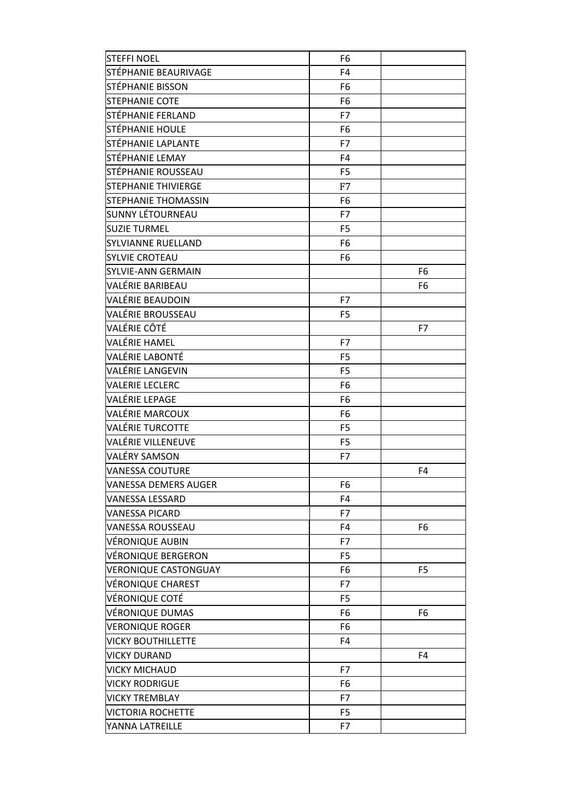| <b>STEFFI NOEL</b>          | F6             |                |
|-----------------------------|----------------|----------------|
| STÉPHANIE BEAURIVAGE        | F <sub>4</sub> |                |
| STÉPHANIE BISSON            | F <sub>6</sub> |                |
| STEPHANIE COTE              | F <sub>6</sub> |                |
| STÉPHANIE FERLAND           | F7             |                |
| STÉPHANIE HOULE             | F <sub>6</sub> |                |
| STÉPHANIE LAPLANTE          | F7             |                |
| STÉPHANIE LEMAY             | F <sub>4</sub> |                |
| STÉPHANIE ROUSSEAU          | F <sub>5</sub> |                |
| <b>STEPHANIE THIVIERGE</b>  | F7             |                |
| STEPHANIE THOMASSIN         | F <sub>6</sub> |                |
| SUNNY LÉTOURNEAU            | F7             |                |
| <b>SUZIE TURMEL</b>         | F <sub>5</sub> |                |
| <b>SYLVIANNE RUELLAND</b>   | F <sub>6</sub> |                |
| <b>SYLVIE CROTEAU</b>       | F <sub>6</sub> |                |
| <b>SYLVIE-ANN GERMAIN</b>   |                | F <sub>6</sub> |
| VALÉRIE BARIBEAU            |                | F <sub>6</sub> |
| VALÉRIE BEAUDOIN            | F7             |                |
| VALÉRIE BROUSSEAU           | F <sub>5</sub> |                |
| VALÉRIE CÔTÉ                |                | F7             |
| VALÉRIE HAMEL               | F7             |                |
| <b>VALÉRIE LABONTÉ</b>      | F <sub>5</sub> |                |
| VALÉRIE LANGEVIN            | F <sub>5</sub> |                |
| <b>VALERIE LECLERC</b>      | F <sub>6</sub> |                |
| VALÉRIE LEPAGE              | F6             |                |
| VALÉRIE MARCOUX             | F <sub>6</sub> |                |
| <b>VALÉRIE TURCOTTE</b>     | F <sub>5</sub> |                |
| <b>VALÉRIE VILLENEUVE</b>   | F <sub>5</sub> |                |
| VALÉRY SAMSON               | F7             |                |
| <b>VANESSA COUTURE</b>      |                | F <sub>4</sub> |
| <b>VANESSA DEMERS AUGER</b> | F6             |                |
| <b>VANESSA LESSARD</b>      | F <sub>4</sub> |                |
| <b>VANESSA PICARD</b>       | F7             |                |
| <b>VANESSA ROUSSEAU</b>     | F <sub>4</sub> | F6             |
| VÉRONIQUE AUBIN             | F7             |                |
| <b>VÉRONIQUE BERGERON</b>   | F <sub>5</sub> |                |
| <b>VERONIQUE CASTONGUAY</b> | F6             | F <sub>5</sub> |
| <b>VÉRONIQUE CHAREST</b>    | F7             |                |
| VÉRONIQUE COTÉ              | F <sub>5</sub> |                |
| <b>VÉRONIQUE DUMAS</b>      | F6             | F <sub>6</sub> |
| <b>VERONIQUE ROGER</b>      | F6             |                |
| <b>VICKY BOUTHILLETTE</b>   | F <sub>4</sub> |                |
| <b>VICKY DURAND</b>         |                | F <sub>4</sub> |
| <b>VICKY MICHAUD</b>        | F7             |                |
| <b>VICKY RODRIGUE</b>       | F6             |                |
| <b>VICKY TREMBLAY</b>       | F7             |                |
| <b>VICTORIA ROCHETTE</b>    | F <sub>5</sub> |                |
| YANNA LATREILLE             | F7             |                |